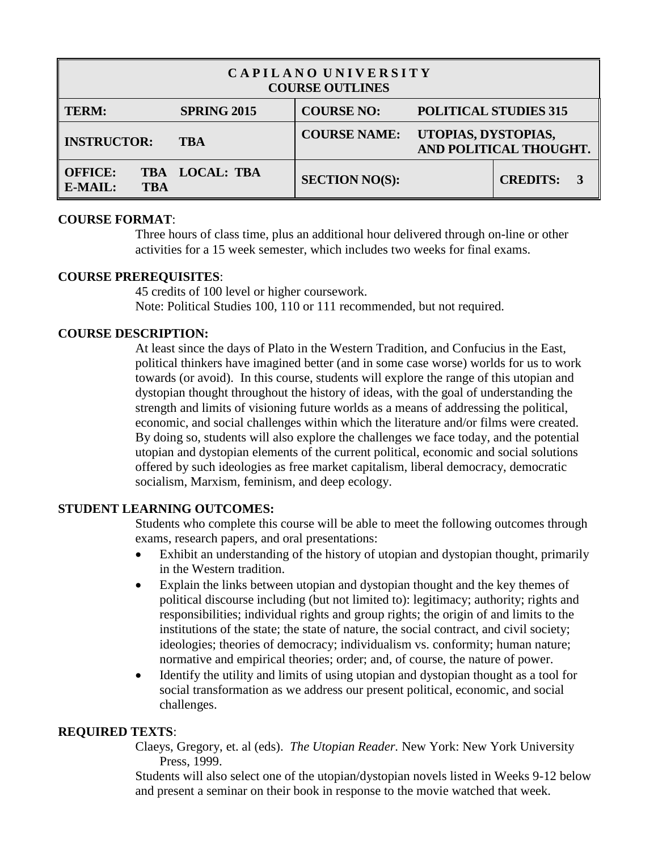| CAPILANO UNIVERSITY<br><b>COURSE OUTLINES</b> |                    |                       |                                               |                 |  |  |
|-----------------------------------------------|--------------------|-----------------------|-----------------------------------------------|-----------------|--|--|
| <b>TERM:</b>                                  | <b>SPRING 2015</b> | <b>COURSE NO:</b>     | <b>POLITICAL STUDIES 315</b>                  |                 |  |  |
| <b>INSTRUCTOR:</b><br><b>TBA</b>              |                    | <b>COURSE NAME:</b>   | UTOPIAS, DYSTOPIAS,<br>AND POLITICAL THOUGHT. |                 |  |  |
| <b>OFFICE:</b><br>E-MAIL:<br><b>TBA</b>       | TBA LOCAL: TBA     | <b>SECTION NO(S):</b> |                                               | <b>CREDITS:</b> |  |  |

## **COURSE FORMAT**:

Three hours of class time, plus an additional hour delivered through on-line or other activities for a 15 week semester, which includes two weeks for final exams.

## **COURSE PREREQUISITES**:

45 credits of 100 level or higher coursework. Note: Political Studies 100, 110 or 111 recommended, but not required.

## **COURSE DESCRIPTION:**

At least since the days of Plato in the Western Tradition, and Confucius in the East, political thinkers have imagined better (and in some case worse) worlds for us to work towards (or avoid). In this course, students will explore the range of this utopian and dystopian thought throughout the history of ideas, with the goal of understanding the strength and limits of visioning future worlds as a means of addressing the political, economic, and social challenges within which the literature and/or films were created. By doing so, students will also explore the challenges we face today, and the potential utopian and dystopian elements of the current political, economic and social solutions offered by such ideologies as free market capitalism, liberal democracy, democratic socialism, Marxism, feminism, and deep ecology.

## **STUDENT LEARNING OUTCOMES:**

Students who complete this course will be able to meet the following outcomes through exams, research papers, and oral presentations:

- Exhibit an understanding of the history of utopian and dystopian thought, primarily in the Western tradition.
- Explain the links between utopian and dystopian thought and the key themes of political discourse including (but not limited to): legitimacy; authority; rights and responsibilities; individual rights and group rights; the origin of and limits to the institutions of the state; the state of nature, the social contract, and civil society; ideologies; theories of democracy; individualism vs. conformity; human nature; normative and empirical theories; order; and, of course, the nature of power.
- Identify the utility and limits of using utopian and dystopian thought as a tool for social transformation as we address our present political, economic, and social challenges.

## **REQUIRED TEXTS**:

Claeys, Gregory, et. al (eds). *The Utopian Reader.* New York: New York University Press, 1999.

Students will also select one of the utopian/dystopian novels listed in Weeks 9-12 below and present a seminar on their book in response to the movie watched that week.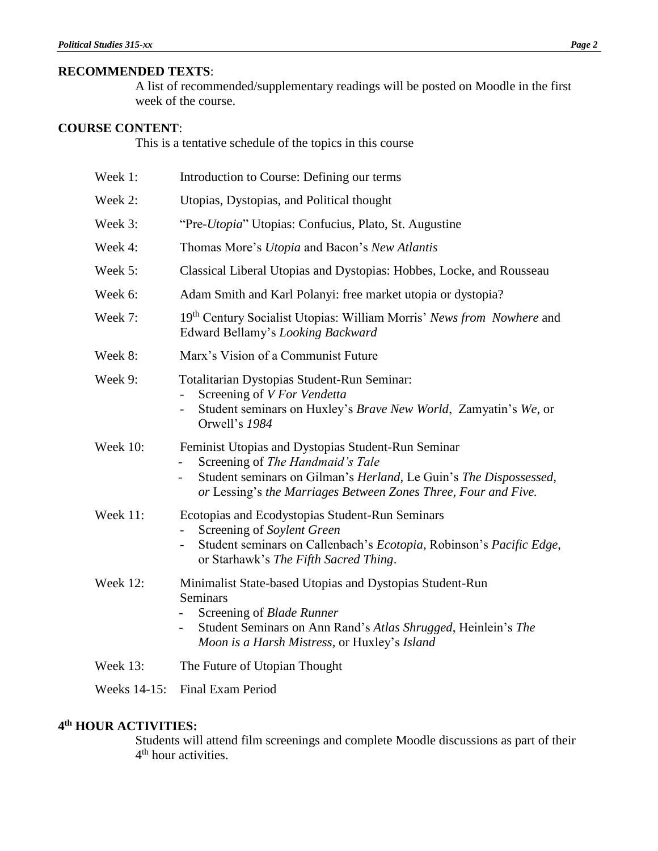## **RECOMMENDED TEXTS**:

A list of recommended/supplementary readings will be posted on Moodle in the first week of the course.

## **COURSE CONTENT**:

This is a tentative schedule of the topics in this course

| Week 1:         | Introduction to Course: Defining our terms                                                                                                                                                                                                                |  |  |
|-----------------|-----------------------------------------------------------------------------------------------------------------------------------------------------------------------------------------------------------------------------------------------------------|--|--|
| Week 2:         | Utopias, Dystopias, and Political thought                                                                                                                                                                                                                 |  |  |
| Week 3:         | "Pre-Utopia" Utopias: Confucius, Plato, St. Augustine                                                                                                                                                                                                     |  |  |
| Week 4:         | Thomas More's Utopia and Bacon's New Atlantis                                                                                                                                                                                                             |  |  |
| Week 5:         | Classical Liberal Utopias and Dystopias: Hobbes, Locke, and Rousseau                                                                                                                                                                                      |  |  |
| Week 6:         | Adam Smith and Karl Polanyi: free market utopia or dystopia?                                                                                                                                                                                              |  |  |
| Week 7:         | 19 <sup>th</sup> Century Socialist Utopias: William Morris' News from Nowhere and<br>Edward Bellamy's Looking Backward                                                                                                                                    |  |  |
| Week 8:         | Marx's Vision of a Communist Future                                                                                                                                                                                                                       |  |  |
| Week 9:         | Totalitarian Dystopias Student-Run Seminar:<br>Screening of V For Vendetta<br>Student seminars on Huxley's Brave New World, Zamyatin's We, or<br>Orwell's 1984                                                                                            |  |  |
| <b>Week 10:</b> | Feminist Utopias and Dystopias Student-Run Seminar<br>Screening of The Handmaid's Tale<br>$\overline{\phantom{0}}$<br>Student seminars on Gilman's Herland, Le Guin's The Dispossessed,<br>or Lessing's the Marriages Between Zones Three, Four and Five. |  |  |
| Week 11:        | Ecotopias and Ecodystopias Student-Run Seminars<br>Screening of Soylent Green<br>Student seminars on Callenbach's Ecotopia, Robinson's Pacific Edge,<br>-<br>or Starhawk's The Fifth Sacred Thing.                                                        |  |  |
| Week 12:        | Minimalist State-based Utopias and Dystopias Student-Run<br>Seminars<br>Screening of Blade Runner<br>Student Seminars on Ann Rand's Atlas Shrugged, Heinlein's The<br>Moon is a Harsh Mistress, or Huxley's Island                                        |  |  |
| <b>Week 13:</b> | The Future of Utopian Thought                                                                                                                                                                                                                             |  |  |
| Weeks 14-15:    | Final Exam Period                                                                                                                                                                                                                                         |  |  |

## **4 th HOUR ACTIVITIES:**

Students will attend film screenings and complete Moodle discussions as part of their 4<sup>th</sup> hour activities.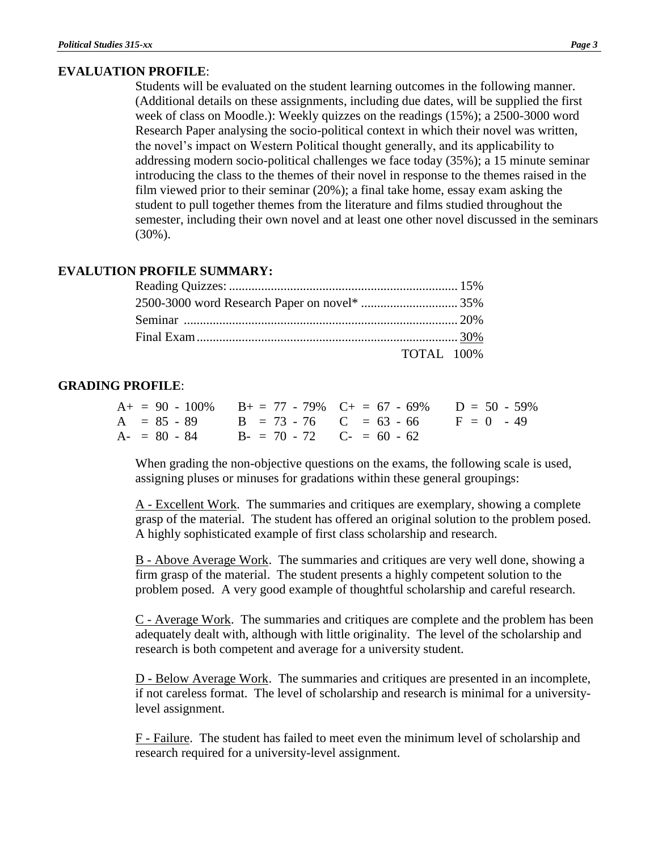# **EVALUATION PROFILE**:

Students will be evaluated on the student learning outcomes in the following manner. (Additional details on these assignments, including due dates, will be supplied the first week of class on Moodle.): Weekly quizzes on the readings (15%); a 2500-3000 word Research Paper analysing the socio-political context in which their novel was written, the novel's impact on Western Political thought generally, and its applicability to addressing modern socio-political challenges we face today (35%); a 15 minute seminar introducing the class to the themes of their novel in response to the themes raised in the film viewed prior to their seminar (20%); a final take home, essay exam asking the student to pull together themes from the literature and films studied throughout the semester, including their own novel and at least one other novel discussed in the seminars (30%).

## **EVALUTION PROFILE SUMMARY:**

| <b>TOTAL</b> 100% |  |
|-------------------|--|

### **GRADING PROFILE**:

|  |                                           | $A_+ = 90 - 100\%$ $B_+ = 77 - 79\%$ $C_+ = 67 - 69\%$ $D = 50 - 59\%$ |  |
|--|-------------------------------------------|------------------------------------------------------------------------|--|
|  |                                           | $A = 85 - 89$ $B = 73 - 76$ $C = 63 - 66$ $F = 0 - 49$                 |  |
|  | $A = 80 - 84$ $B = 70 - 72$ $C = 60 - 62$ |                                                                        |  |

When grading the non-objective questions on the exams, the following scale is used, assigning pluses or minuses for gradations within these general groupings:

A - Excellent Work. The summaries and critiques are exemplary, showing a complete grasp of the material. The student has offered an original solution to the problem posed. A highly sophisticated example of first class scholarship and research.

B - Above Average Work. The summaries and critiques are very well done, showing a firm grasp of the material. The student presents a highly competent solution to the problem posed. A very good example of thoughtful scholarship and careful research.

C - Average Work. The summaries and critiques are complete and the problem has been adequately dealt with, although with little originality. The level of the scholarship and research is both competent and average for a university student.

D - Below Average Work. The summaries and critiques are presented in an incomplete, if not careless format. The level of scholarship and research is minimal for a universitylevel assignment.

F - Failure. The student has failed to meet even the minimum level of scholarship and research required for a university-level assignment.